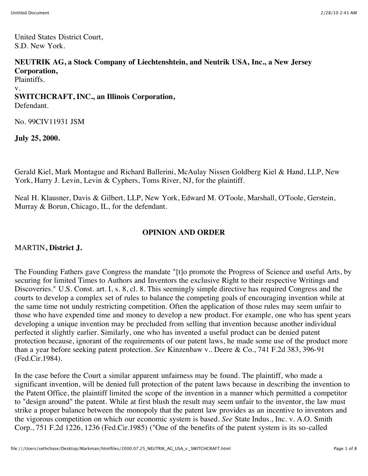United States District Court, S.D. New York.

### **NEUTRIK AG, a Stock Company of Liechtenshtein, and Neutrik USA, Inc., a New Jersey Corporation,**

Plaintiffs.

v.

#### **SWITCHCRAFT, INC., an Illinois Corporation,** Defendant.

No. 99CIV11931 JSM

**July 25, 2000.**

Gerald Kiel, Mark Montague and Richard Ballerini, McAulay Nissen Goldberg Kiel & Hand, LLP, New York, Harry J. Levin, Levin & Cyphers, Toms River, NJ, for the plaintiff.

Neal H. Klausner, Davis & Gilbert, LLP, New York, Edward M. O'Toole, Marshall, O'Toole, Gerstein, Murray & Borun, Chicago, IL, for the defendant.

# **OPINION AND ORDER**

# MARTIN**, District J.**

The Founding Fathers gave Congress the mandate "[t]o promote the Progress of Science and useful Arts, by securing for limited Times to Authors and Inventors the exclusive Right to their respective Writings and Discoveries." U.S. Const. art. I, s. 8, cl. 8. This seemingly simple directive has required Congress and the courts to develop a complex set of rules to balance the competing goals of encouraging invention while at the same time not unduly restricting competition. Often the application of those rules may seem unfair to those who have expended time and money to develop a new product. For example, one who has spent years developing a unique invention may be precluded from selling that invention because another individual perfected it slightly earlier. Similarly, one who has invented a useful product can be denied patent protection because, ignorant of the requirements of our patent laws, he made some use of the product more than a year before seeking patent protection. *See* Kinzenbaw v.. Deere & Co., 741 F.2d 383, 396-91 (Fed.Cir.1984).

In the case before the Court a similar apparent unfairness may be found. The plaintiff, who made a significant invention, will be denied full protection of the patent laws because in describing the invention to the Patent Office, the plaintiff limited the scope of the invention in a manner which permitted a competitor to "design around" the patent. While at first blush the result may seem unfair to the inventor, the law must strike a proper balance between the monopoly that the patent law provides as an incentive to inventors and the vigorous competition on which our economic system is based. *See* State Indus., Inc. v. A.O. Smith Corp., 751 F.2d 1226, 1236 (Fed.Cir.1985) ("One of the benefits of the patent system is its so-called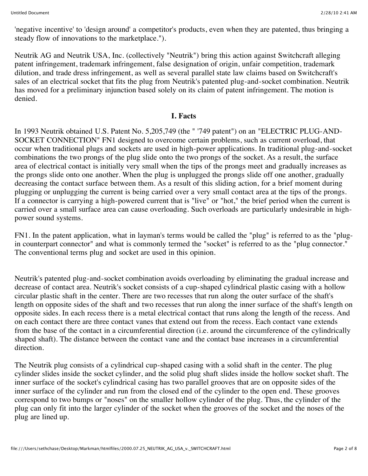'negative incentive' to 'design around' a competitor's products, even when they are patented, thus bringing a steady flow of innovations to the marketplace.").

Neutrik AG and Neutrik USA, Inc. (collectively "Neutrik") bring this action against Switchcraft alleging patent infringement, trademark infringement, false designation of origin, unfair competition, trademark dilution, and trade dress infringement, as well as several parallel state law claims based on Switchcraft's sales of an electrical socket that fits the plug from Neutrik's patented plug-and-socket combination. Neutrik has moved for a preliminary injunction based solely on its claim of patent infringement. The motion is denied.

#### **I. Facts**

In 1993 Neutrik obtained U.S. Patent No. 5,205,749 (the " '749 patent") on an "ELECTRIC PLUG-AND-SOCKET CONNECTION" FN1 designed to overcome certain problems, such as current overload, that occur when traditional plugs and sockets are used in high-power applications. In traditional plug-and-socket combinations the two prongs of the plug slide onto the two prongs of the socket. As a result, the surface area of electrical contact is initially very small when the tips of the prongs meet and gradually increases as the prongs slide onto one another. When the plug is unplugged the prongs slide off one another, gradually decreasing the contact surface between them. As a result of this sliding action, for a brief moment during plugging or unplugging the current is being carried over a very small contact area at the tips of the prongs. If a connector is carrying a high-powered current that is "live" or "hot," the brief period when the current is carried over a small surface area can cause overloading. Such overloads are particularly undesirable in highpower sound systems.

FN1. In the patent application, what in layman's terms would be called the "plug" is referred to as the "plugin counterpart connector" and what is commonly termed the "socket" is referred to as the "plug connector." The conventional terms plug and socket are used in this opinion.

Neutrik's patented plug-and-socket combination avoids overloading by eliminating the gradual increase and decrease of contact area. Neutrik's socket consists of a cup-shaped cylindrical plastic casing with a hollow circular plastic shaft in the center. There are two recesses that run along the outer surface of the shaft's length on opposite sides of the shaft and two recesses that run along the inner surface of the shaft's length on opposite sides. In each recess there is a metal electrical contact that runs along the length of the recess. And on each contact there are three contact vanes that extend out from the recess. Each contact vane extends from the base of the contact in a circumferential direction (i.e. around the circumference of the cylindrically shaped shaft). The distance between the contact vane and the contact base increases in a circumferential direction.

The Neutrik plug consists of a cylindrical cup-shaped casing with a solid shaft in the center. The plug cylinder slides inside the socket cylinder, and the solid plug shaft slides inside the hollow socket shaft. The inner surface of the socket's cylindrical casing has two parallel grooves that are on opposite sides of the inner surface of the cylinder and run from the closed end of the cylinder to the open end. These grooves correspond to two bumps or "noses" on the smaller hollow cylinder of the plug. Thus, the cylinder of the plug can only fit into the larger cylinder of the socket when the grooves of the socket and the noses of the plug are lined up.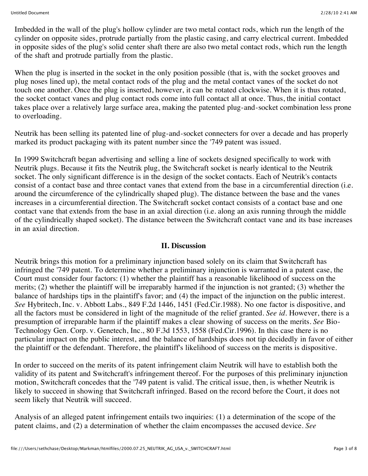Imbedded in the wall of the plug's hollow cylinder are two metal contact rods, which run the length of the cylinder on opposite sides, protrude partially from the plastic casing, and carry electrical current. Imbedded in opposite sides of the plug's solid center shaft there are also two metal contact rods, which run the length of the shaft and protrude partially from the plastic.

When the plug is inserted in the socket in the only position possible (that is, with the socket grooves and plug noses lined up), the metal contact rods of the plug and the metal contact vanes of the socket do not touch one another. Once the plug is inserted, however, it can be rotated clockwise. When it is thus rotated, the socket contact vanes and plug contact rods come into full contact all at once. Thus, the initial contact takes place over a relatively large surface area, making the patented plug-and-socket combination less prone to overloading.

Neutrik has been selling its patented line of plug-and-socket connecters for over a decade and has properly marked its product packaging with its patent number since the '749 patent was issued.

In 1999 Switchcraft began advertising and selling a line of sockets designed specifically to work with Neutrik plugs. Because it fits the Neutrik plug, the Switchcraft socket is nearly identical to the Neutrik socket. The only significant difference is in the design of the socket contacts. Each of Neutrik's contacts consist of a contact base and three contact vanes that extend from the base in a circumferential direction (i.e. around the circumference of the cylindrically shaped plug). The distance between the base and the vanes increases in a circumferential direction. The Switchcraft socket contact consists of a contact base and one contact vane that extends from the base in an axial direction (i.e. along an axis running through the middle of the cylindrically shaped socket). The distance between the Switchcraft contact vane and its base increases in an axial direction.

#### **II. Discussion**

Neutrik brings this motion for a preliminary injunction based solely on its claim that Switchcraft has infringed the '749 patent. To determine whether a preliminary injunction is warranted in a patent case, the Court must consider four factors: (1) whether the plaintiff has a reasonable likelihood of success on the merits; (2) whether the plaintiff will be irreparably harmed if the injunction is not granted; (3) whether the balance of hardships tips in the plaintiff's favor; and (4) the impact of the injunction on the public interest. *See* Hybritech, Inc. v. Abbott Labs., 849 F.2d 1446, 1451 (Fed.Cir.1988). No one factor is dispositive, and all the factors must be considered in light of the magnitude of the relief granted. *See id.* However, there is a presumption of irreparable harm if the plaintiff makes a clear showing of success on the merits. *See* Bio-Technology Gen. Corp. v. Genetech, Inc., 80 F.3d 1553, 1558 (Fed.Cir.1996). In this case there is no particular impact on the public interest, and the balance of hardships does not tip decidedly in favor of either the plaintiff or the defendant. Therefore, the plaintiff's likelihood of success on the merits is dispositive.

In order to succeed on the merits of its patent infringement claim Neutrik will have to establish both the validity of its patent and Switchcraft's infringement thereof. For the purposes of this preliminary injunction motion, Switchcraft concedes that the '749 patent is valid. The critical issue, then, is whether Neutrik is likely to succeed in showing that Switchcraft infringed. Based on the record before the Court, it does not seem likely that Neutrik will succeed.

Analysis of an alleged patent infringement entails two inquiries: (1) a determination of the scope of the patent claims, and (2) a determination of whether the claim encompasses the accused device. *See*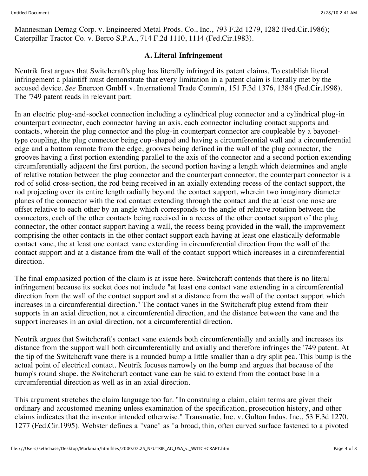Mannesman Demag Corp. v. Engineered Metal Prods. Co., Inc., 793 F.2d 1279, 1282 (Fed.Cir.1986); Caterpillar Tractor Co. v. Berco S.P.A., 714 F.2d 1110, 1114 (Fed.Cir.1983).

### **A. Literal Infringement**

Neutrik first argues that Switchcraft's plug has literally infringed its patent claims. To establish literal infringement a plaintiff must demonstrate that every limitation in a patent claim is literally met by the accused device. *See* Enercon GmbH v. International Trade Comm'n, 151 F.3d 1376, 1384 (Fed.Cir.1998). The '749 patent reads in relevant part:

In an electric plug-and-socket connection including a cylindrical plug connector and a cylindrical plug-in counterpart connector, each connector having an axis, each connector including contact supports and contacts, wherein the plug connector and the plug-in counterpart connector are coupleable by a bayonettype coupling, the plug connector being cup-shaped and having a circumferential wall and a circumferential edge and a bottom remote from the edge, grooves being defined in the wall of the plug connector, the grooves having a first portion extending parallel to the axis of the connector and a second portion extending circumferentially adjacent the first portion, the second portion having a length which determines and angle of relative rotation between the plug connector and the counterpart connector, the counterpart connector is a rod of solid cross-section, the rod being received in an axially extending recess of the contact support, the rod projecting over its entire length radially beyond the contact support, wherein two imaginary diameter planes of the connector with the rod contact extending through the contact and the at least one nose are offset relative to each other by an angle which corresponds to the angle of relative rotation between the connectors, each of the other contacts being received in a recess of the other contact support of the plug connector, the other contact support having a wall, the recess being provided in the wall, the improvement comprising the other contacts in the other contact support each having at least one elastically deformable contact vane, the at least one contact vane extending in circumferential direction from the wall of the contact support and at a distance from the wall of the contact support which increases in a circumferential direction.

The final emphasized portion of the claim is at issue here. Switchcraft contends that there is no literal infringement because its socket does not include "at least one contact vane extending in a circumferential direction from the wall of the contact support and at a distance from the wall of the contact support which increases in a circumferential direction." The contact vanes in the Switchcraft plug extend from their supports in an axial direction, not a circumferential direction, and the distance between the vane and the support increases in an axial direction, not a circumferential direction.

Neutrik argues that Switchcraft's contact vane extends both circumferentially and axially and increases its distance from the support wall both circumferentially and axially and therefore infringes the '749 patent. At the tip of the Switchcraft vane there is a rounded bump a little smaller than a dry split pea. This bump is the actual point of electrical contact. Neutrik focuses narrowly on the bump and argues that because of the bump's round shape, the Switchcraft contact vane can be said to extend from the contact base in a circumferential direction as well as in an axial direction.

This argument stretches the claim language too far. "In construing a claim, claim terms are given their ordinary and accustomed meaning unless examination of the specification, prosecution history, and other claims indicates that the inventor intended otherwise." Transmatic, Inc. v. Gulton Indus. Inc., 53 F.3d 1270, 1277 (Fed.Cir.1995). Webster defines a "vane" as "a broad, thin, often curved surface fastened to a pivoted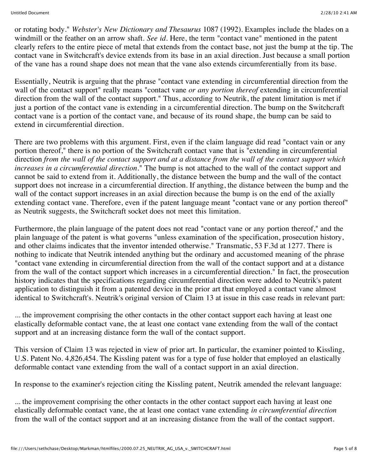or rotating body." *Webster's New Dictionary and Thesaurus* 1087 (1992). Examples include the blades on a windmill or the feather on an arrow shaft. *See id.* Here, the term "contact vane" mentioned in the patent clearly refers to the entire piece of metal that extends from the contact base, not just the bump at the tip. The contact vane in Switchcraft's device extends from its base in an axial direction. Just because a small portion of the vane has a round shape does not mean that the vane also extends circumferentially from its base.

Essentially, Neutrik is arguing that the phrase "contact vane extending in circumferential direction from the wall of the contact support" really means "contact vane *or any portion thereof* extending in circumferential direction from the wall of the contact support." Thus, according to Neutrik, the patent limitation is met if just a portion of the contact vane is extending in a circumferential direction. The bump on the Switchcraft contact vane is a portion of the contact vane, and because of its round shape, the bump can be said to extend in circumferential direction.

There are two problems with this argument. First, even if the claim language did read "contact vain or any portion thereof," there is no portion of the Switchcraft contact vane that is "extending in circumferential direction *from the wall of the contact support and at a distance from the wall of the contact support which increases in a circumferential direction.*" The bump is not attached to the wall of the contact support and cannot be said to extend from it. Additionally, the distance between the bump and the wall of the contact support does not increase in a circumferential direction. If anything, the distance between the bump and the wall of the contact support increases in an axial direction because the bump is on the end of the axially extending contact vane. Therefore, even if the patent language meant "contact vane or any portion thereof" as Neutrik suggests, the Switchcraft socket does not meet this limitation.

Furthermore, the plain language of the patent does not read "contact vane or any portion thereof," and the plain language of the patent is what governs "unless examination of the specification, prosecution history, and other claims indicates that the inventor intended otherwise." Transmatic, 53 F.3d at 1277. There is nothing to indicate that Neutrik intended anything but the ordinary and accustomed meaning of the phrase "contact vane extending in circumferential direction from the wall of the contact support and at a distance from the wall of the contact support which increases in a circumferential direction." In fact, the prosecution history indicates that the specifications regarding circumferential direction were added to Neutrik's patent application to distinguish it from a patented device in the prior art that employed a contact vane almost identical to Switchcraft's. Neutrik's original version of Claim 13 at issue in this case reads in relevant part:

... the improvement comprising the other contacts in the other contact support each having at least one elastically deformable contact vane, the at least one contact vane extending from the wall of the contact support and at an increasing distance form the wall of the contact support.

This version of Claim 13 was rejected in view of prior art. In particular, the examiner pointed to Kissling, U.S. Patent No. 4,826,454. The Kissling patent was for a type of fuse holder that employed an elastically deformable contact vane extending from the wall of a contact support in an axial direction.

In response to the examiner's rejection citing the Kissling patent, Neutrik amended the relevant language:

... the improvement comprising the other contacts in the other contact support each having at least one elastically deformable contact vane, the at least one contact vane extending *in circumferential direction* from the wall of the contact support and at an increasing distance from the wall of the contact support.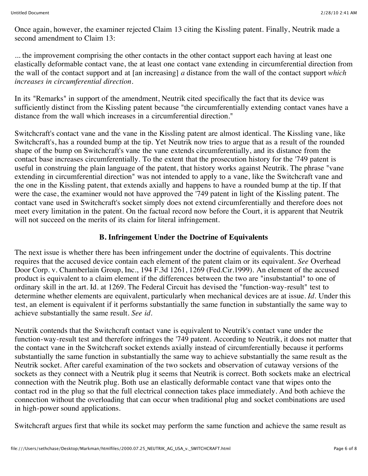Once again, however, the examiner rejected Claim 13 citing the Kissling patent. Finally, Neutrik made a second amendment to Claim 13:

... the improvement comprising the other contacts in the other contact support each having at least one elastically deformable contact vane, the at least one contact vane extending in circumferential direction from the wall of the contact support and at [an increasing] *a* distance from the wall of the contact support *which increases in circumferential direction.*

In its "Remarks" in support of the amendment, Neutrik cited specifically the fact that its device was sufficiently distinct from the Kissling patent because "the circumferentially extending contact vanes have a distance from the wall which increases in a circumferential direction."

Switchcraft's contact vane and the vane in the Kissling patent are almost identical. The Kissling vane, like Switchcraft's, has a rounded bump at the tip. Yet Neutrik now tries to argue that as a result of the rounded shape of the bump on Switchcraft's vane the vane extends circumferentially, and its distance from the contact base increases circumferentially. To the extent that the prosecution history for the '749 patent is useful in construing the plain language of the patent, that history works against Neutrik. The phrase "vane extending in circumferential direction" was not intended to apply to a vane, like the Switchcraft vane and the one in the Kissling patent, that extends axially and happens to have a rounded bump at the tip. If that were the case, the examiner would not have approved the '749 patent in light of the Kissling patent. The contact vane used in Switchcraft's socket simply does not extend circumferentially and therefore does not meet every limitation in the patent. On the factual record now before the Court, it is apparent that Neutrik will not succeed on the merits of its claim for literal infringement.

# **B. Infringement Under the Doctrine of Equivalents**

The next issue is whether there has been infringement under the doctrine of equivalents. This doctrine requires that the accused device contain each element of the patent claim or its equivalent. *See* Overhead Door Corp. v. Chamberlain Group, Inc., 194 F.3d 1261, 1269 (Fed.Cir.1999). An element of the accused product is equivalent to a claim element if the differences between the two are "insubstantial" to one of ordinary skill in the art. Id. at 1269. The Federal Circuit has devised the "function-way-result" test to determine whether elements are equivalent, particularly when mechanical devices are at issue. *Id.* Under this test, an element is equivalent if it performs substantially the same function in substantially the same way to achieve substantially the same result. *See id.*

Neutrik contends that the Switchcraft contact vane is equivalent to Neutrik's contact vane under the function-way-result test and therefore infringes the '749 patent. According to Neutrik, it does not matter that the contact vane in the Switchcraft socket extends axially instead of circumferentially because it performs substantially the same function in substantially the same way to achieve substantially the same result as the Neutrik socket. After careful examination of the two sockets and observation of cutaway versions of the sockets as they connect with a Neutrik plug it seems that Neutrik is correct. Both sockets make an electrical connection with the Neutrik plug. Both use an elastically deformable contact vane that wipes onto the contact rod in the plug so that the full electrical connection takes place immediately. And both achieve the connection without the overloading that can occur when traditional plug and socket combinations are used in high-power sound applications.

Switchcraft argues first that while its socket may perform the same function and achieve the same result as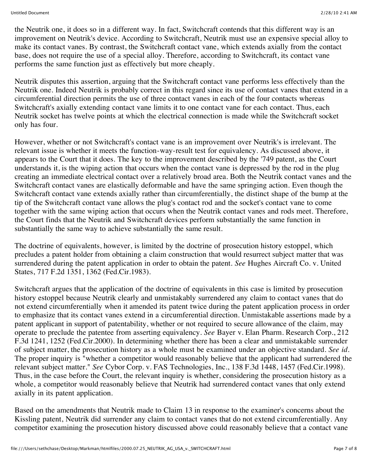the Neutrik one, it does so in a different way. In fact, Switchcraft contends that this different way is an improvement on Neutrik's device. According to Switchcraft, Neutrik must use an expensive special alloy to make its contact vanes. By contrast, the Switchcraft contact vane, which extends axially from the contact base, does not require the use of a special alloy. Therefore, according to Switchcraft, its contact vane performs the same function just as effectively but more cheaply.

Neutrik disputes this assertion, arguing that the Switchcraft contact vane performs less effectively than the Neutrik one. Indeed Neutrik is probably correct in this regard since its use of contact vanes that extend in a circumferential direction permits the use of three contact vanes in each of the four contacts whereas Switchcraft's axially extending contact vane limits it to one contact vane for each contact. Thus, each Neutrik socket has twelve points at which the electrical connection is made while the Switchcraft socket only has four.

However, whether or not Switchcraft's contact vane is an improvement over Neutrik's is irrelevant. The relevant issue is whether it meets the function-way-result test for equivalency. As discussed above, it appears to the Court that it does. The key to the improvement described by the '749 patent, as the Court understands it, is the wiping action that occurs when the contact vane is depressed by the rod in the plug creating an immediate electrical contact over a relatively broad area. Both the Neutrik contact vanes and the Switchcraft contact vanes are elastically deformable and have the same springing action. Even though the Switchcraft contact vane extends axially rather than circumferentially, the distinct shape of the bump at the tip of the Switchcraft contact vane allows the plug's contact rod and the socket's contact vane to come together with the same wiping action that occurs when the Neutrik contact vanes and rods meet. Therefore, the Court finds that the Neutrik and Switchcraft devices perform substantially the same function in substantially the same way to achieve substantially the same result.

The doctrine of equivalents, however, is limited by the doctrine of prosecution history estoppel, which precludes a patent holder from obtaining a claim construction that would resurrect subject matter that was surrendered during the patent application in order to obtain the patent. *See* Hughes Aircraft Co. v. United States, 717 F.2d 1351, 1362 (Fed.Cir.1983).

Switchcraft argues that the application of the doctrine of equivalents in this case is limited by prosecution history estoppel because Neutrik clearly and unmistakably surrendered any claim to contact vanes that do not extend circumferentially when it amended its patent twice during the patent application process in order to emphasize that its contact vanes extend in a circumferential direction. Unmistakable assertions made by a patent applicant in support of patentability, whether or not required to secure allowance of the claim, may operate to preclude the patentee from asserting equivalency. *See* Bayer v. Elan Pharm. Research Corp., 212 F.3d 1241, 1252 (Fed.Cir.2000). In determining whether there has been a clear and unmistakable surrender of subject matter, the prosecution history as a whole must be examined under an objective standard. *See id.* The proper inquiry is "whether a competitor would reasonably believe that the applicant had surrendered the relevant subject matter." *See* Cybor Corp. v. FAS Technologies, Inc., 138 F.3d 1448, 1457 (Fed.Cir.1998). Thus, in the case before the Court, the relevant inquiry is whether, considering the prosecution history as a whole, a competitor would reasonably believe that Neutrik had surrendered contact vanes that only extend axially in its patent application.

Based on the amendments that Neutrik made to Claim 13 in response to the examiner's concerns about the Kissling patent, Neutrik did surrender any claim to contact vanes that do not extend circumferentially. Any competitor examining the prosecution history discussed above could reasonably believe that a contact vane